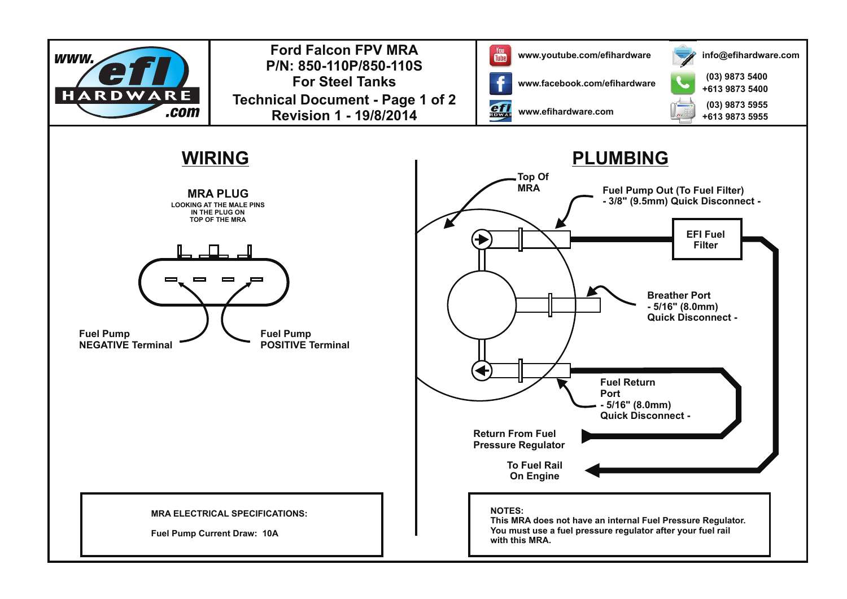